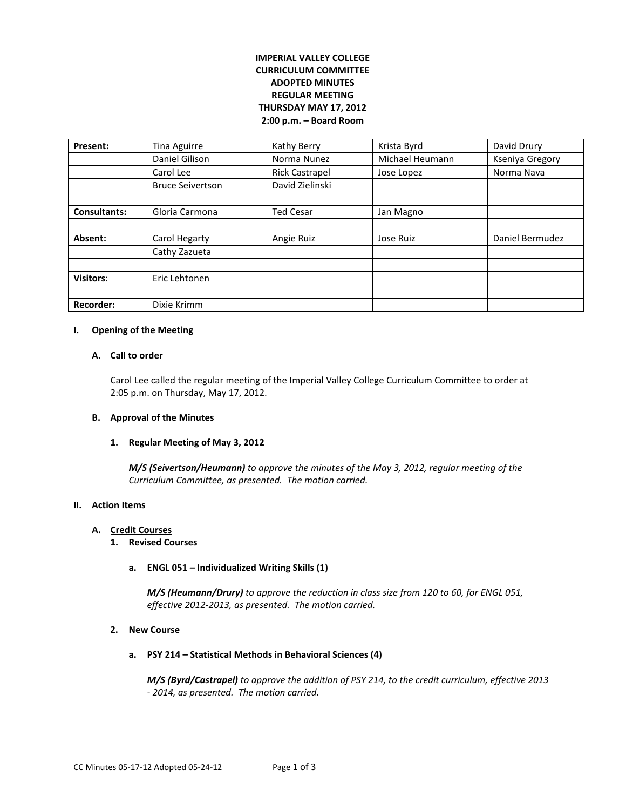# **IMPERIAL VALLEY COLLEGE CURRICULUM COMMITTEE ADOPTED MINUTES REGULAR MEETING THURSDAY MAY 17, 2012 2:00 p.m. – Board Room**

| Present:            | <b>Tina Aguirre</b>     | Kathy Berry           | Krista Byrd     | David Drury     |
|---------------------|-------------------------|-----------------------|-----------------|-----------------|
|                     | Daniel Gilison          | Norma Nunez           | Michael Heumann | Kseniya Gregory |
|                     | Carol Lee               | <b>Rick Castrapel</b> | Jose Lopez      | Norma Nava      |
|                     | <b>Bruce Seivertson</b> | David Zielinski       |                 |                 |
|                     |                         |                       |                 |                 |
| <b>Consultants:</b> | Gloria Carmona          | <b>Ted Cesar</b>      | Jan Magno       |                 |
|                     |                         |                       |                 |                 |
| Absent:             | Carol Hegarty           | Angie Ruiz            | Jose Ruiz       | Daniel Bermudez |
|                     | Cathy Zazueta           |                       |                 |                 |
|                     |                         |                       |                 |                 |
| <b>Visitors:</b>    | Eric Lehtonen           |                       |                 |                 |
|                     |                         |                       |                 |                 |
| <b>Recorder:</b>    | Dixie Krimm             |                       |                 |                 |

### **I. Opening of the Meeting**

### **A. Call to order**

Carol Lee called the regular meeting of the Imperial Valley College Curriculum Committee to order at 2:05 p.m. on Thursday, May 17, 2012.

### **B. Approval of the Minutes**

### **1. Regular Meeting of May 3, 2012**

*M/S (Seivertson/Heumann) to approve the minutes of the May 3, 2012, regular meeting of the Curriculum Committee, as presented. The motion carried.*

### **II. Action Items**

## **A. Credit Courses**

- **1. Revised Courses**
	- **a. ENGL 051 – Individualized Writing Skills (1)**

*M/S (Heumann/Drury) to approve the reduction in class size from 120 to 60, for ENGL 051, effective 2012-2013, as presented. The motion carried.*

## **2. New Course**

**a. PSY 214 – Statistical Methods in Behavioral Sciences (4)**

*M/S (Byrd/Castrapel) to approve the addition of PSY 214, to the credit curriculum, effective 2013 - 2014, as presented. The motion carried.*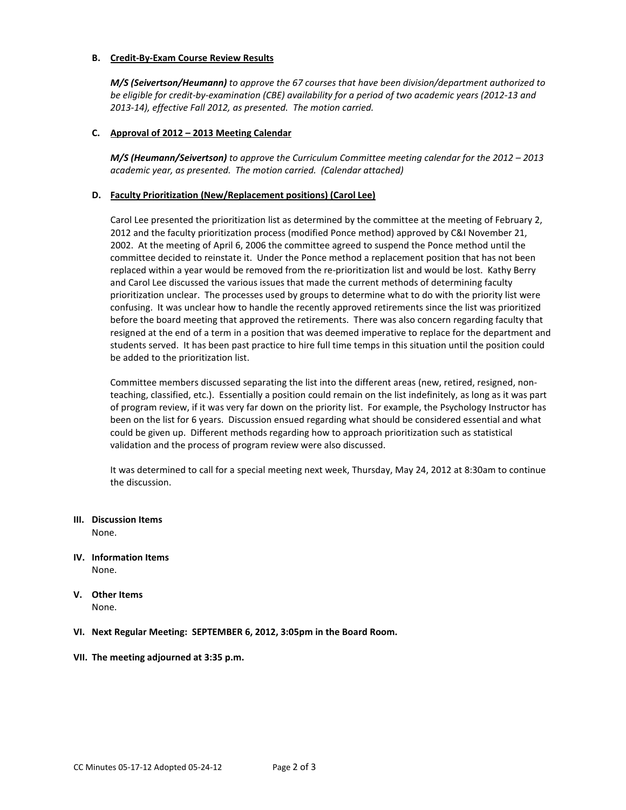### **B. Credit-By-Exam Course Review Results**

*M/S (Seivertson/Heumann) to approve the 67 courses that have been division/department authorized to be eligible for credit-by-examination (CBE) availability for a period of two academic years (2012-13 and 2013-14), effective Fall 2012, as presented. The motion carried.*

## **C. Approval of 2012 – 2013 Meeting Calendar**

*M/S (Heumann/Seivertson) to approve the Curriculum Committee meeting calendar for the 2012 – 2013 academic year, as presented. The motion carried. (Calendar attached)*

### **D. Faculty Prioritization (New/Replacement positions) (Carol Lee)**

Carol Lee presented the prioritization list as determined by the committee at the meeting of February 2, 2012 and the faculty prioritization process (modified Ponce method) approved by C&I November 21, 2002. At the meeting of April 6, 2006 the committee agreed to suspend the Ponce method until the committee decided to reinstate it. Under the Ponce method a replacement position that has not been replaced within a year would be removed from the re-prioritization list and would be lost. Kathy Berry and Carol Lee discussed the various issues that made the current methods of determining faculty prioritization unclear. The processes used by groups to determine what to do with the priority list were confusing. It was unclear how to handle the recently approved retirements since the list was prioritized before the board meeting that approved the retirements. There was also concern regarding faculty that resigned at the end of a term in a position that was deemed imperative to replace for the department and students served. It has been past practice to hire full time temps in this situation until the position could be added to the prioritization list.

Committee members discussed separating the list into the different areas (new, retired, resigned, nonteaching, classified, etc.). Essentially a position could remain on the list indefinitely, as long as it was part of program review, if it was very far down on the priority list. For example, the Psychology Instructor has been on the list for 6 years. Discussion ensued regarding what should be considered essential and what could be given up. Different methods regarding how to approach prioritization such as statistical validation and the process of program review were also discussed.

It was determined to call for a special meeting next week, Thursday, May 24, 2012 at 8:30am to continue the discussion.

### **III. Discussion Items**

None.

- **IV. Information Items** None.
- **V. Other Items** None.

### **VI. Next Regular Meeting: SEPTEMBER 6, 2012, 3:05pm in the Board Room.**

### **VII. The meeting adjourned at 3:35 p.m.**